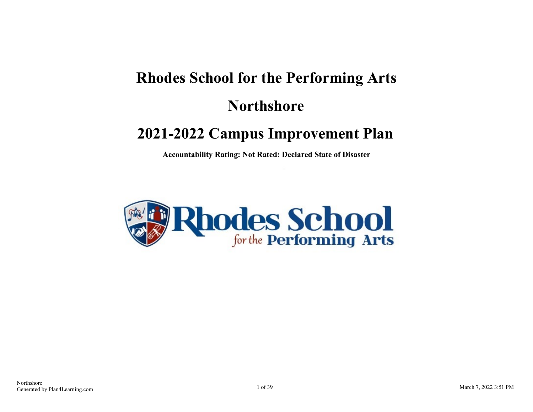# **Rhodes School for the Performing Arts Northshore**

# **2021-2022 Campus Improvement Plan**

**Accountability Rating: Not Rated: Declared State of Disaster**

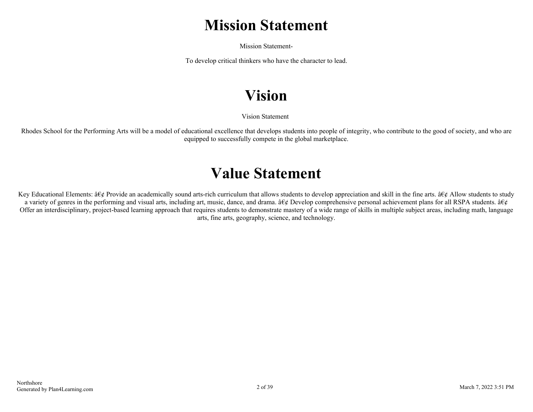# **Mission Statement**

Mission Statement-

To develop critical thinkers who have the character to lead.

# **Vision**

Vision Statement

Rhodes School for the Performing Arts will be a model of educational excellence that develops students into people of integrity, who contribute to the good of society, and who are equipped to successfully compete in the global marketplace.

# **Value Statement**

Key Educational Elements:  $\hat{a}\in\emptyset$  Provide an academically sound arts-rich curriculum that allows students to develop appreciation and skill in the fine arts.  $\hat{a}\in\emptyset$  Allow students to study a variety of genres in the performing and visual arts, including art, music, dance, and drama.  $\hat{\alpha} \in \hat{\mathcal{C}}$  Develop comprehensive personal achievement plans for all RSPA students.  $\hat{\alpha} \in \hat{\mathcal{C}}$ Offer an interdisciplinary, project-based learning approach that requires students to demonstrate mastery of a wide range of skills in multiple subject areas, including math, language arts, fine arts, geography, science, and technology.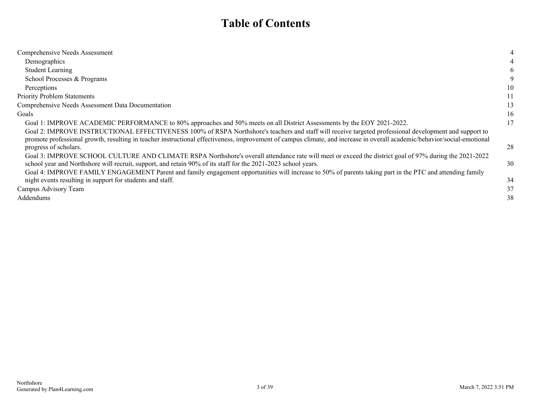# **Table of Contents**

| Comprehensive Needs Assessment                                                                                                                                                                                                                                                                                                                                                                                                                                                                                                                                                                                                                                                                                                                                                                                                                                                                                                                                                            | 4                    |
|-------------------------------------------------------------------------------------------------------------------------------------------------------------------------------------------------------------------------------------------------------------------------------------------------------------------------------------------------------------------------------------------------------------------------------------------------------------------------------------------------------------------------------------------------------------------------------------------------------------------------------------------------------------------------------------------------------------------------------------------------------------------------------------------------------------------------------------------------------------------------------------------------------------------------------------------------------------------------------------------|----------------------|
| Demographics                                                                                                                                                                                                                                                                                                                                                                                                                                                                                                                                                                                                                                                                                                                                                                                                                                                                                                                                                                              |                      |
| <b>Student Learning</b>                                                                                                                                                                                                                                                                                                                                                                                                                                                                                                                                                                                                                                                                                                                                                                                                                                                                                                                                                                   | 6                    |
| School Processes & Programs                                                                                                                                                                                                                                                                                                                                                                                                                                                                                                                                                                                                                                                                                                                                                                                                                                                                                                                                                               | 9                    |
| Perceptions                                                                                                                                                                                                                                                                                                                                                                                                                                                                                                                                                                                                                                                                                                                                                                                                                                                                                                                                                                               | 10                   |
| Priority Problem Statements                                                                                                                                                                                                                                                                                                                                                                                                                                                                                                                                                                                                                                                                                                                                                                                                                                                                                                                                                               | 11                   |
| Comprehensive Needs Assessment Data Documentation                                                                                                                                                                                                                                                                                                                                                                                                                                                                                                                                                                                                                                                                                                                                                                                                                                                                                                                                         | 13                   |
| Goals                                                                                                                                                                                                                                                                                                                                                                                                                                                                                                                                                                                                                                                                                                                                                                                                                                                                                                                                                                                     | 16                   |
| Goal 1: IMPROVE ACADEMIC PERFORMANCE to 80% approaches and 50% meets on all District Assessments by the EOY 2021-2022.<br>Goal 2: IMPROVE INSTRUCTIONAL EFFECTIVENESS 100% of RSPA Northshore's teachers and staff will receive targeted professional development and support to<br>promote professional growth, resulting in teacher instructional effectiveness, improvement of campus climate, and increase in overall academic/behavior/social-emotional<br>progress of scholars.<br>Goal 3: IMPROVE SCHOOL CULTURE AND CLIMATE RSPA Northshore's overall attendance rate will meet or exceed the district goal of 97% during the 2021-2022<br>school year and Northshore will recruit, support, and retain 90% of its staff for the 2021-2023 school years.<br>Goal 4: IMPROVE FAMILY ENGAGEMENT Parent and family engagement opportunities will increase to 50% of parents taking part in the PTC and attending family<br>night events resulting in support for students and staff. | 17<br>28<br>30<br>34 |
| Campus Advisory Team                                                                                                                                                                                                                                                                                                                                                                                                                                                                                                                                                                                                                                                                                                                                                                                                                                                                                                                                                                      | 37                   |
| Addendums                                                                                                                                                                                                                                                                                                                                                                                                                                                                                                                                                                                                                                                                                                                                                                                                                                                                                                                                                                                 | 38                   |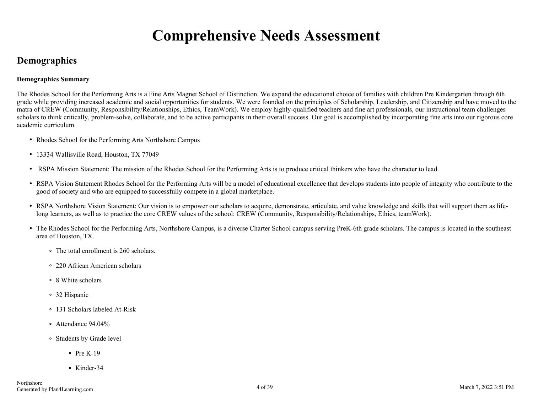# **Comprehensive Needs Assessment**

# <span id="page-3-0"></span>**Demographics**

### **Demographics Summary**

The Rhodes School for the Performing Arts is a Fine Arts Magnet School of Distinction. We expand the educational choice of families with children Pre Kindergarten through 6th grade while providing increased academic and social opportunities for students. We were founded on the principles of Scholarship, Leadership, and Citizenship and have moved to the matra of CREW (Community, Responsibility/Relationships, Ethics, TeamWork). We employ highly-qualified teachers and fine art professionals, our instructional team challenges scholars to think critically, problem-solve, collaborate, and to be active participants in their overall success. Our goal is accomplished by incorporating fine arts into our rigorous core academic curriculum.

- Rhodes School for the Performing Arts Northshore Campus
- 13334 Wallisville Road, Houston, TX 77049
- RSPA Mission Statement: The mission of the Rhodes School for the Performing Arts is to produce critical thinkers who have the character to lead.
- RSPA Vision Statement Rhodes School for the Performing Arts will be a model of educational excellence that develops students into people of integrity who contribute to the good of society and who are equipped to successfully compete in a global marketplace.
- RSPA Northshore Vision Statement: Our vision is to empower our scholars to acquire, demonstrate, articulate, and value knowledge and skills that will support them as lifelong learners, as well as to practice the core CREW values of the school: CREW (Community, Responsibility/Relationships, Ethics, teamWork).
- The Rhodes School for the Performing Arts, Northshore Campus, is a diverse Charter School campus serving PreK-6th grade scholars. The campus is located in the southeast area of Houston, TX.
	- The total enrollment is 260 scholars.
	- 220 African American scholars
	- 8 White scholars
	- 32 Hispanic
	- 131 Scholars labeled At-Risk
	- Attendance 94 04%
	- Students by Grade level
		- $\blacksquare$  Pre K-19
		- Kinder-34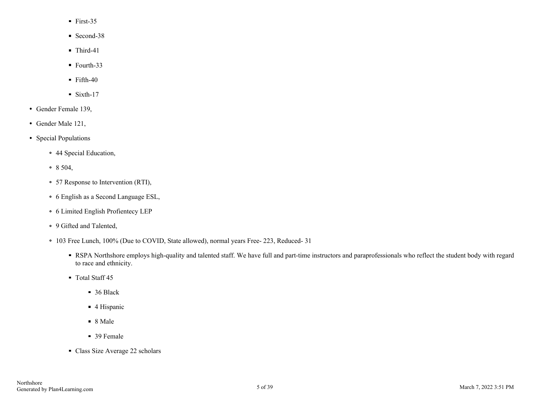- $First-35$
- Second-38
- Third-41
- Fourth-33
- $\blacksquare$  Fifth-40
- $\blacksquare$  Sixth-17
- Gender Female 139,
- Gender Male 121,
- Special Populations
	- 44 Special Education,
	- 8 504,
	- 57 Response to Intervention (RTI),
	- 6 English as a Second Language ESL,
	- 6 Limited English Profientecy LEP
	- 9 Gifted and Talented,
	- 103 Free Lunch, 100% (Due to COVID, State allowed), normal years Free- 223, Reduced- 31
		- RSPA Northshore employs high-quality and talented staff. We have full and part-time instructors and paraprofessionals who reflect the student body with regard to race and ethnicity.
		- Total Staff 45
			- 36 Black
			- 4 Hispanic
			- 8 Male
			- 39 Female
		- Class Size Average 22 scholars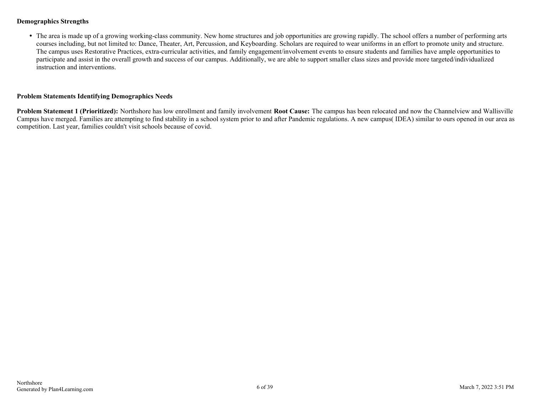#### **Demographics Strengths**

The area is made up of a growing working-class community. New home structures and job opportunities are growing rapidly. The school offers a number of performing arts courses including, but not limited to: Dance, Theater, Art, Percussion, and Keyboarding. Scholars are required to wear uniforms in an effort to promote unity and structure. The campus uses Restorative Practices, extra-curricular activities, and family engagement/involvement events to ensure students and families have ample opportunities to participate and assist in the overall growth and success of our campus. Additionally, we are able to support smaller class sizes and provide more targeted/individualized instruction and interventions.

#### **Problem Statements Identifying Demographics Needs**

**Problem Statement 1 (Prioritized):** Northshore has low enrollment and family involvement **Root Cause:** The campus has been relocated and now the Channelview and Wallisville Campus have merged. Families are attempting to find stability in a school system prior to and after Pandemic regulations. A new campus( IDEA) similar to ours opened in our area as competition. Last year, families couldn't visit schools because of covid.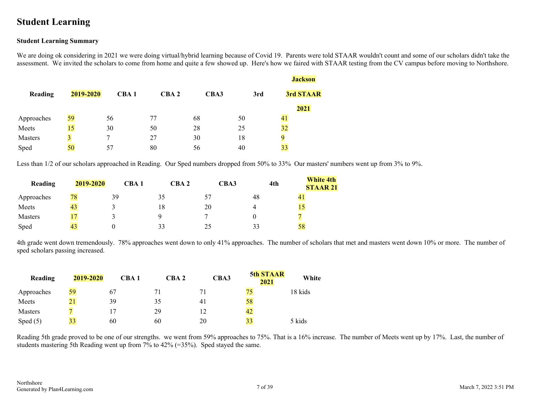# <span id="page-6-0"></span>**Student Learning**

#### **Student Learning Summary**

We are doing ok considering in 2021 we were doing virtual/hybrid learning because of Covid 19. Parents were told STAAR wouldn't count and some of our scholars didn't take the assessment. We invited the scholars to come from home and quite a few showed up. Here's how we faired with STAAR testing from the CV campus before moving to Northshore.

|            |           |        |                  |      |     | <b>Jackson</b> |
|------------|-----------|--------|------------------|------|-----|----------------|
| Reading    | 2019-2020 | CBA1   | CBA <sub>2</sub> | CBA3 | 3rd | 3rd STAAR      |
|            |           |        |                  |      |     | 2021           |
| Approaches | 59        | 56     | 77               | 68   | 50  | 41             |
| Meets      | 15        | 30     | 50               | 28   | 25  | 32             |
| Masters    | 3         | $\tau$ | 27               | 30   | 18  | 9              |
| Sped       | 50        | 57     | 80               | 56   | 40  | 33             |

Less than  $1/2$  of our scholars approached in Reading. Our Sped numbers dropped from 50% to 33% Our masters' numbers went up from 3% to 9%.

| Reading        | 2019-2020 | CBA <sub>1</sub> | CBA <sub>2</sub> | CBA3 | 4th | <b>White 4th</b><br><b>STAAR 21</b> |
|----------------|-----------|------------------|------------------|------|-----|-------------------------------------|
| Approaches     | 78        | 39               | 35               | 57   | 48  | 41                                  |
| Meets          | 43        |                  | 18               | 20   | 4   | 15                                  |
| <b>Masters</b> |           |                  |                  |      |     |                                     |
| Sped           | 43        |                  | 33               | 25   | 33  | 58                                  |

4th grade went down tremendously. 78% approaches went down to only 41% approaches. The number of scholars that met and masters went down 10% or more. The number of sped scholars passing increased.

| Reading        | 2019-2020 | CBA1 | CBA <sub>2</sub> | CBA3 | <b>5th STAAR</b><br>2021 | White   |
|----------------|-----------|------|------------------|------|--------------------------|---------|
| Approaches     | 59        | 67   | 71               | 71   | 75                       | 18 kids |
| Meets          | 21        | 39   | 35               | 41   | 58                       |         |
| <b>Masters</b> |           |      | 29               | 12   | 42                       |         |
| Sped $(5)$     | 33        | 60   | 60               | 20   | 33                       | 5 kids  |

Reading 5th grade proved to be one of our strengths. we went from 59% approaches to 75%. That is a 16% increase. The number of Meets went up by 17%. Last, the number of students mastering 5th Reading went up from 7% to 42% (=35%). Sped stayed the same.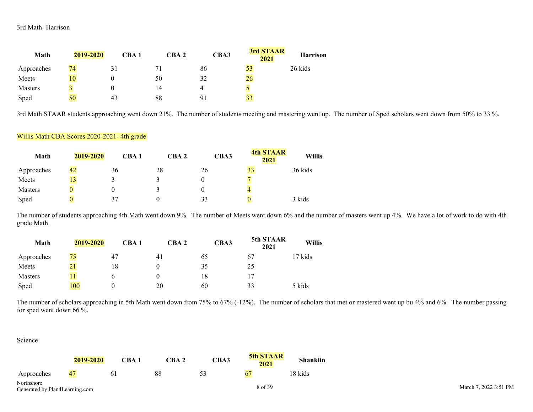| Math           | 2019-2020 | CBA <sub>1</sub> | CBA <sub>2</sub> | CBA3 | 3rd STAAR<br>2021 | <b>Harrison</b> |
|----------------|-----------|------------------|------------------|------|-------------------|-----------------|
| Approaches     | 74        | 31               |                  | 86   | 53                | 26 kids         |
| Meets          | 10        |                  | 50               | 32   | 26                |                 |
| <b>Masters</b> |           |                  | 14               |      |                   |                 |
| Sped           | 50        | 43               | 88               | 91   | 33                |                 |

3rd Math STAAR students approaching went down 21%. The number of students meeting and mastering went up. The number of Sped scholars went down from 50% to 33 %.

#### Willis Math CBA Scores 2020-2021- 4th grade

| Math           | 2019-2020 | CBA1 | CBA <sub>2</sub> | CBA3 | <b>4th STAAR</b><br>2021 | <b>Willis</b> |
|----------------|-----------|------|------------------|------|--------------------------|---------------|
| Approaches     | 42        | 36   | 28               | 26   | 33                       | 36 kids       |
| Meets          | 13        |      |                  |      |                          |               |
| <b>Masters</b> |           |      |                  |      | 4                        |               |
| Sped           |           | 37   | 0                | 33   |                          | 3 kids        |

The number of students approaching 4th Math went down 9%. The number of Meets went down 6% and the number of masters went up 4%. We have a lot of work to do with 4th grade Math.

| Math           | 2019-2020 | CBA <sub>1</sub> | CBA <sub>2</sub> | CBA3 | 5th STAAR<br>2021 | <b>Willis</b> |
|----------------|-----------|------------------|------------------|------|-------------------|---------------|
| Approaches     | 75        | 47               | 41               | 65   | 67                | 17 kids       |
| Meets          | 21        | 18               | 0                | 35   | 25                |               |
| <b>Masters</b> |           |                  | 0                | 18   |                   |               |
| Sped           | 100       |                  | 20               | 60   | 33                | 5 kids        |

The number of scholars approaching in 5th Math went down from 75% to 67% (-12%). The number of scholars that met or mastered went up bu 4% and 6%. The number passing for sped went down 66 %.

#### Science

|                                              | 2019-2020 | CBA 1          | CBA 2 | CBA3 | 5th STAAR<br>2021 | <b>Shanklin</b> |  |
|----------------------------------------------|-----------|----------------|-------|------|-------------------|-----------------|--|
| Approaches                                   | 47        | 0 <sub>1</sub> | 88    |      |                   | 18 kids         |  |
| Northshore<br>Generated by Plan4Learning.com |           |                |       |      | 8 of 39           |                 |  |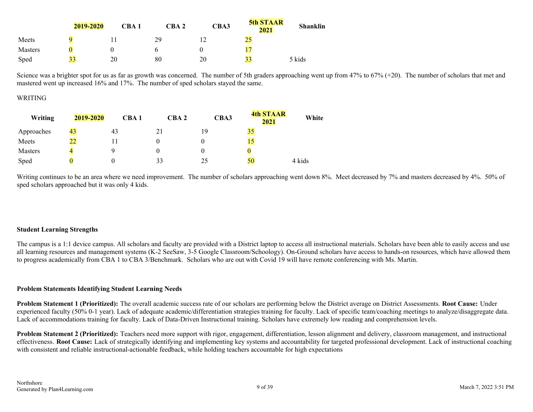|                | 2019-2020 | CBA <sub>1</sub> | CBA 2 | CBA3 | <b>5th STAAR</b><br>2021 | <b>Shanklin</b> |
|----------------|-----------|------------------|-------|------|--------------------------|-----------------|
| Meets          |           |                  | 29    |      | 25                       |                 |
| <b>Masters</b> |           |                  |       |      |                          |                 |
| Sped           | 33        | 20               | 80    | 20   | 33                       | 5 kids          |

Science was a brighter spot for us as far as growth was concerned. The number of 5th graders approaching went up from 47% to 67%  $(+20)$ . The number of scholars that met and mastered went up increased 16% and 17%. The number of sped scholars stayed the same.

#### WRITING

| Writing        | 2019-2020 | CBA1 | CBA <sub>2</sub> | CBA3 | <b>4th STAAR</b><br>2021 | White  |
|----------------|-----------|------|------------------|------|--------------------------|--------|
| Approaches     | 43        | 43   |                  | 19   | 35                       |        |
| Meets          | 22        |      |                  |      | 15                       |        |
| <b>Masters</b> |           |      |                  |      | U                        |        |
| Sped           |           |      | 33               | 25   | 50                       | 4 kids |

Writing continues to be an area where we need improvement. The number of scholars approaching went down 8%. Meet decreased by 7% and masters decreased by 4%. 50% of sped scholars approached but it was only 4 kids.

#### **Student Learning Strengths**

The campus is a 1:1 device campus. All scholars and faculty are provided with a District laptop to access all instructional materials. Scholars have been able to easily access and use all learning resources and management systems (K-2 SeeSaw, 3-5 Google Classroom/Schoology). On-Ground scholars have access to hands-on resources, which have allowed them to progress academically from CBA 1 to CBA 3/Benchmark. Scholars who are out with Covid 19 will have remote conferencing with Ms. Martin.

#### **Problem Statements Identifying Student Learning Needs**

**Problem Statement 1 (Prioritized):** The overall academic success rate of our scholars are performing below the District average on District Assessments. **Root Cause:** Under experienced faculty (50% 0-1 year). Lack of adequate academic/differentiation strategies training for faculty. Lack of specific team/coaching meetings to analyze/disaggregate data. Lack of accommodations training for faculty. Lack of Data-Driven Instructional training. Scholars have extremely low reading and comprehension levels.

**Problem Statement 2 (Prioritized):** Teachers need more support with rigor, engagement, differentiation, lesson alignment and delivery, classroom management, and instructional effectiveness. **Root Cause:** Lack of strategically identifying and implementing key systems and accountability for targeted professional development. Lack of instructional coaching with consistent and reliable instructional-actionable feedback, while holding teachers accountable for high expectations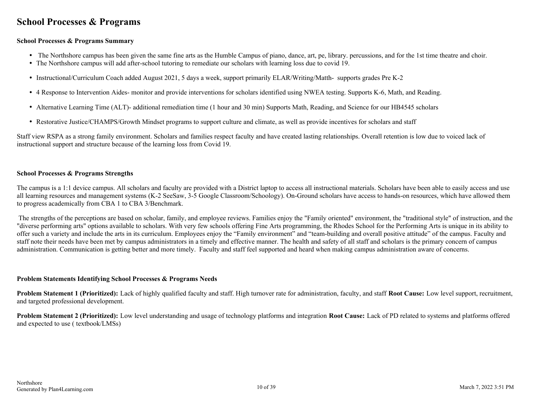# <span id="page-9-0"></span>**School Processes & Programs**

#### **School Processes & Programs Summary**

- The Northshore campus has been given the same fine arts as the Humble Campus of piano, dance, art, pe, library. percussions, and for the 1st time theatre and choir.
- The Northshore campus will add after-school tutoring to remediate our scholars with learning loss due to covid 19.
- Instructional/Curriculum Coach added August 2021, 5 days a week, support primarily ELAR/Writing/Matth- supports grades Pre K-2
- 4 Response to Intervention Aides- monitor and provide interventions for scholars identified using NWEA testing. Supports K-6, Math, and Reading.
- Alternative Learning Time (ALT)- additional remediation time (1 hour and 30 min) Supports Math, Reading, and Science for our HB4545 scholars
- Restorative Justice/CHAMPS/Growth Mindset programs to support culture and climate, as well as provide incentives for scholars and staff

Staff view RSPA as a strong family environment. Scholars and families respect faculty and have created lasting relationships. Overall retention is low due to voiced lack of instructional support and structure because of the learning loss from Covid 19.

#### **School Processes & Programs Strengths**

The campus is a 1:1 device campus. All scholars and faculty are provided with a District laptop to access all instructional materials. Scholars have been able to easily access and use all learning resources and management systems (K-2 SeeSaw, 3-5 Google Classroom/Schoology). On-Ground scholars have access to hands-on resources, which have allowed them to progress academically from CBA 1 to CBA 3/Benchmark.

The strengths of the perceptions are based on scholar, family, and employee reviews. Families enjoy the "Family oriented" environment, the "traditional style" of instruction, and the "diverse performing arts" options available to scholars. With very few schools offering Fine Arts programming, the Rhodes School for the Performing Arts is unique in its ability to offer such a variety and include the arts in its curriculum. Employees enjoy the "Family environment" and "team-building and overall positive attitude" of the campus. Faculty and staff note their needs have been met by campus administrators in a timely and effective manner. The health and safety of all staff and scholars is the primary concern of campus administration. Communication is getting better and more timely. Faculty and staff feel supported and heard when making campus administration aware of concerns.

#### **Problem Statements Identifying School Processes & Programs Needs**

**Problem Statement 1 (Prioritized):** Lack of highly qualified faculty and staff. High turnover rate for administration, faculty, and staff **Root Cause:** Low level support, recruitment, and targeted professional development.

**Problem Statement 2 (Prioritized):** Low level understanding and usage of technology platforms and integration **Root Cause:** Lack of PD related to systems and platforms offered and expected to use ( textbook/LMSs)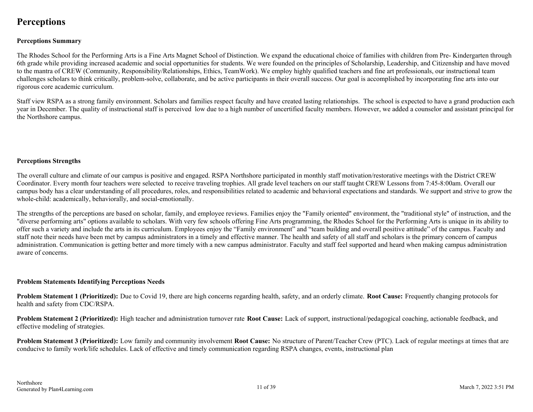# <span id="page-10-0"></span>**Perceptions**

#### **Perceptions Summary**

The Rhodes School for the Performing Arts is a Fine Arts Magnet School of Distinction. We expand the educational choice of families with children from Pre- Kindergarten through 6th grade while providing increased academic and social opportunities for students. We were founded on the principles of Scholarship, Leadership, and Citizenship and have moved to the mantra of CREW (Community, Responsibility/Relationships, Ethics, TeamWork). We employ highly qualified teachers and fine art professionals, our instructional team challenges scholars to think critically, problem-solve, collaborate, and be active participants in their overall success. Our goal is accomplished by incorporating fine arts into our rigorous core academic curriculum.

Staff view RSPA as a strong family environment. Scholars and families respect faculty and have created lasting relationships. The school is expected to have a grand production each year in December. The quality of instructional staff is perceived low due to a high number of uncertified faculty members. However, we added a counselor and assistant principal for the Northshore campus.

#### **Perceptions Strengths**

The overall culture and climate of our campus is positive and engaged. RSPA Northshore participated in monthly staff motivation/restorative meetings with the District CREW Coordinator. Every month four teachers were selected to receive traveling trophies. All grade level teachers on our staff taught CREW Lessons from 7:45-8:00am. Overall our campus body has a clear understanding of all procedures, roles, and responsibilities related to academic and behavioral expectations and standards. We support and strive to grow the whole-child: academically, behaviorally, and social-emotionally.

The strengths of the perceptions are based on scholar, family, and employee reviews. Families enjoy the "Family oriented" environment, the "traditional style" of instruction, and the "diverse performing arts" options available to scholars. With very few schools offering Fine Arts programming, the Rhodes School for the Performing Arts is unique in its ability to offer such a variety and include the arts in its curriculum. Employees enjoy the "Family environment" and "team building and overall positive attitude" of the campus. Faculty and staff note their needs have been met by campus administrators in a timely and effective manner. The health and safety of all staff and scholars is the primary concern of campus administration. Communication is getting better and more timely with a new campus administrator. Faculty and staff feel supported and heard when making campus administration aware of concerns.

#### **Problem Statements Identifying Perceptions Needs**

**Problem Statement 1 (Prioritized):** Due to Covid 19, there are high concerns regarding health, safety, and an orderly climate. **Root Cause:** Frequently changing protocols for health and safety from CDC/RSPA.

**Problem Statement 2 (Prioritized):** High teacher and administration turnover rate **Root Cause:** Lack of support, instructional/pedagogical coaching, actionable feedback, and effective modeling of strategies.

**Problem Statement 3 (Prioritized):** Low family and community involvement **Root Cause:** No structure of Parent/Teacher Crew (PTC). Lack of regular meetings at times that are conducive to family work/life schedules. Lack of effective and timely communication regarding RSPA changes, events, instructional plan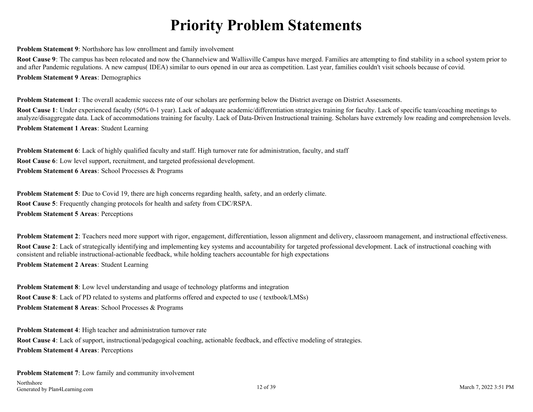# **Priority Problem Statements**

<span id="page-11-0"></span>**Problem Statement 9**: Northshore has low enrollment and family involvement

**Root Cause 9**: The campus has been relocated and now the Channelview and Wallisville Campus have merged. Families are attempting to find stability in a school system prior to and after Pandemic regulations. A new campus(IDEA) similar to ours opened in our area as competition. Last year, families couldn't visit schools because of covid. **Problem Statement 9 Areas**: Demographics

**Problem Statement 1**: The overall academic success rate of our scholars are performing below the District average on District Assessments.

**Root Cause 1**: Under experienced faculty (50% 0-1 year). Lack of adequate academic/differentiation strategies training for faculty. Lack of specific team/coaching meetings to analyze/disaggregate data. Lack of accommodations training for faculty. Lack of Data-Driven Instructional training. Scholars have extremely low reading and comprehension levels. **Problem Statement 1 Areas**: Student Learning

**Problem Statement 6**: Lack of highly qualified faculty and staff. High turnover rate for administration, faculty, and staff **Root Cause 6**: Low level support, recruitment, and targeted professional development. **Problem Statement 6 Areas**: School Processes & Programs

**Problem Statement 5**: Due to Covid 19, there are high concerns regarding health, safety, and an orderly climate. **Root Cause 5**: Frequently changing protocols for health and safety from CDC/RSPA. **Problem Statement 5 Areas**: Perceptions

**Problem Statement 2**: Teachers need more support with rigor, engagement, differentiation, lesson alignment and delivery, classroom management, and instructional effectiveness. **Root Cause 2**: Lack of strategically identifying and implementing key systems and accountability for targeted professional development. Lack of instructional coaching with consistent and reliable instructional-actionable feedback, while holding teachers accountable for high expectations **Problem Statement 2 Areas**: Student Learning

**Problem Statement 8**: Low level understanding and usage of technology platforms and integration **Root Cause 8**: Lack of PD related to systems and platforms offered and expected to use ( textbook/LMSs) **Problem Statement 8 Areas**: School Processes & Programs

**Problem Statement 4**: High teacher and administration turnover rate

**Root Cause 4**: Lack of support, instructional/pedagogical coaching, actionable feedback, and effective modeling of strategies. **Problem Statement 4 Areas**: Perceptions

**Problem Statement 7:** Low family and community involvement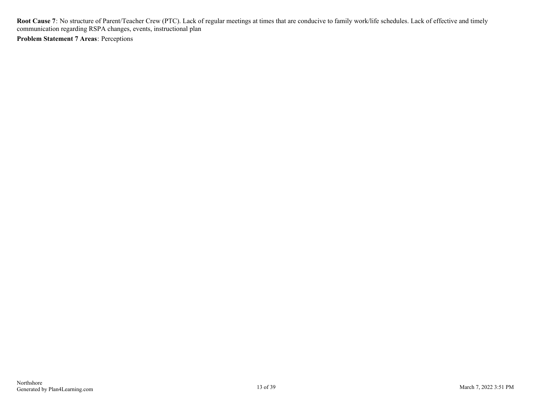**Root Cause 7**: No structure of Parent/Teacher Crew (PTC). Lack of regular meetings at times that are conducive to family work/life schedules. Lack of effective and timely communication regarding RSPA changes, events, instructional plan

**Problem Statement 7 Areas**: Perceptions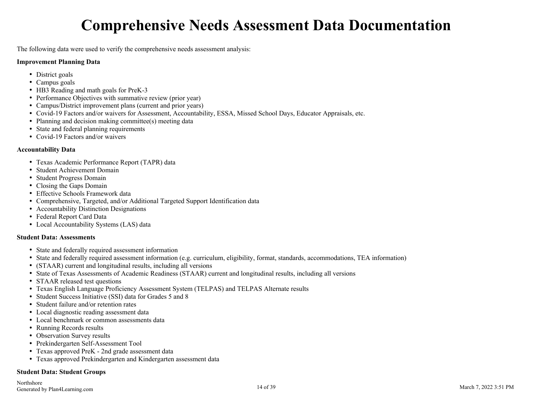# **Comprehensive Needs Assessment Data Documentation**

<span id="page-13-0"></span>The following data were used to verify the comprehensive needs assessment analysis:

#### **Improvement Planning Data**

- District goals
- Campus goals
- HB3 Reading and math goals for PreK-3
- Performance Objectives with summative review (prior year)
- Campus/District improvement plans (current and prior years)
- Covid-19 Factors and/or waivers for Assessment, Accountability, ESSA, Missed School Days, Educator Appraisals, etc.
- Planning and decision making committee(s) meeting data
- State and federal planning requirements
- Covid-19 Factors and/or waivers

#### **Accountability Data**

- Texas Academic Performance Report (TAPR) data
- Student Achievement Domain
- Student Progress Domain
- Closing the Gaps Domain
- Effective Schools Framework data
- Comprehensive, Targeted, and/or Additional Targeted Support Identification data
- Accountability Distinction Designations
- Federal Report Card Data
- Local Accountability Systems (LAS) data

#### **Student Data: Assessments**

- State and federally required assessment information
- State and federally required assessment information (e.g. curriculum, eligibility, format, standards, accommodations, TEA information)
- (STAAR) current and longitudinal results, including all versions
- State of Texas Assessments of Academic Readiness (STAAR) current and longitudinal results, including all versions
- STAAR released test questions
- Texas English Language Proficiency Assessment System (TELPAS) and TELPAS Alternate results
- Student Success Initiative (SSI) data for Grades 5 and 8
- Student failure and/or retention rates
- Local diagnostic reading assessment data
- Local benchmark or common assessments data
- Running Records results
- Observation Survey results
- Prekindergarten Self-Assessment Tool
- Texas approved PreK 2nd grade assessment data
- Texas approved Prekindergarten and Kindergarten assessment data

### **Student Data: Student Groups**

**Northshore** Generated by Plan4Learning.com March 7, 2022 3:51 PM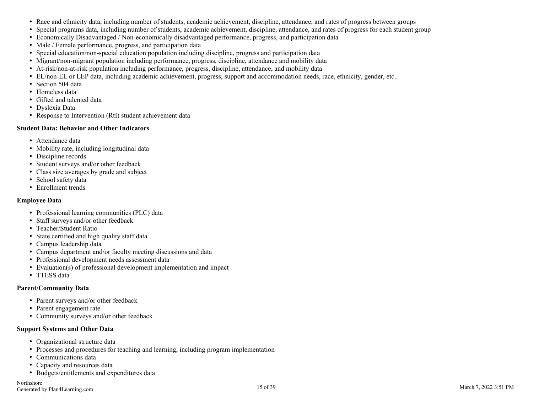- Race and ethnicity data, including number of students, academic achievement, discipline, attendance, and rates of progress between groups
- Special programs data, including number of students, academic achievement, discipline, attendance, and rates of progress for each student group
- Economically Disadvantaged / Non-economically disadvantaged performance, progress, and participation data
- Male / Female performance, progress, and participation data
- Special education/non-special education population including discipline, progress and participation data
- Migrant/non-migrant population including performance, progress, discipline, attendance and mobility data
- At-risk/non-at-risk population including performance, progress, discipline, attendance, and mobility data
- EL/non-EL or LEP data, including academic achievement, progress, support and accommodation needs, race, ethnicity, gender, etc.
- Section 504 data
- Homeless data
- Gifted and talented data
- Dyslexia Data
- Response to Intervention (RtI) student achievement data

#### **Student Data: Behavior and Other Indicators**

- Attendance data
- Mobility rate, including longitudinal data
- Discipline records
- Student surveys and/or other feedback
- Class size averages by grade and subject
- School safety data
- Enrollment trends

#### **Employee Data**

- Professional learning communities (PLC) data
- Staff surveys and/or other feedback
- Teacher/Student Ratio
- State certified and high quality staff data
- Campus leadership data
- Campus department and/or faculty meeting discussions and data
- Professional development needs assessment data
- Evaluation(s) of professional development implementation and impact
- TTESS data

#### **Parent/Community Data**

- Parent surveys and/or other feedback
- Parent engagement rate
- Community surveys and/or other feedback

#### **Support Systems and Other Data**

- Organizational structure data
- Processes and procedures for teaching and learning, including program implementation
- Communications data
- Capacity and resources data
- Budgets/entitlements and expenditures data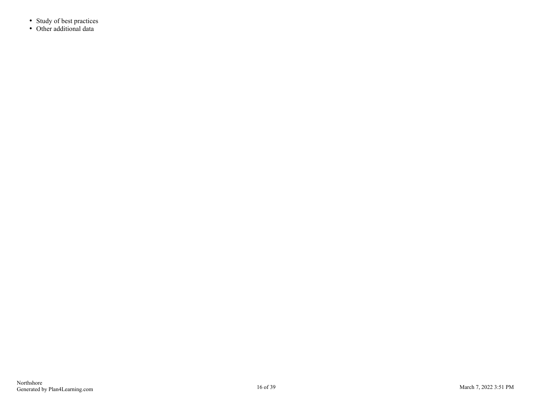- Study of best practices
- Other additional data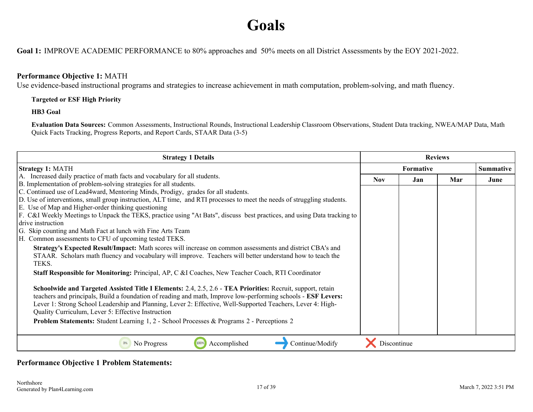# **Goals**

<span id="page-16-0"></span>**Goal 1:** IMPROVE ACADEMIC PERFORMANCE to 80% approaches and 50% meets on all District Assessments by the EOY 2021-2022.

# **Performance Objective 1:** MATH

Use evidence-based instructional programs and strategies to increase achievement in math computation, problem-solving, and math fluency.

### **Targeted or ESF High Priority**

#### **HB3 Goal**

**Evaluation Data Sources:** Common Assessments, Instructional Rounds, Instructional Leadership Classroom Observations, Student Data tracking, NWEA/MAP Data, Math Quick Facts Tracking, Progress Reports, and Report Cards, STAAR Data (3-5)

| <b>Strategy 1 Details</b>                                                                                                                                                                                                                                                                                                                                                                                                                                                                                                                                                                                                                                                                                                                                                                                                                                                                                                 |             |           | <b>Reviews</b> |                  |
|---------------------------------------------------------------------------------------------------------------------------------------------------------------------------------------------------------------------------------------------------------------------------------------------------------------------------------------------------------------------------------------------------------------------------------------------------------------------------------------------------------------------------------------------------------------------------------------------------------------------------------------------------------------------------------------------------------------------------------------------------------------------------------------------------------------------------------------------------------------------------------------------------------------------------|-------------|-----------|----------------|------------------|
| <b>Strategy 1: MATH</b>                                                                                                                                                                                                                                                                                                                                                                                                                                                                                                                                                                                                                                                                                                                                                                                                                                                                                                   |             | Formative |                | <b>Summative</b> |
| A. Increased daily practice of math facts and vocabulary for all students.<br>B. Implementation of problem-solving strategies for all students.<br>C. Continued use of Lead4ward, Mentoring Minds, Prodigy, grades for all students.<br>D. Use of interventions, small group instruction, ALT time, and RTI processes to meet the needs of struggling students.<br>E. Use of Map and Higher-order thinking questioning<br>F. C&I Weekly Meetings to Unpack the TEKS, practice using "At Bats", discuss best practices, and using Data tracking to<br>drive instruction<br>G. Skip counting and Math Fact at lunch with Fine Arts Team<br>H. Common assessments to CFU of upcoming tested TEKS.<br>Strategy's Expected Result/Impact: Math scores will increase on common assessments and district CBA's and<br>STAAR. Scholars math fluency and vocabulary will improve. Teachers will better understand how to teach the | <b>Nov</b>  | Jan       | Mar            | June             |
| TEKS.<br>Staff Responsible for Monitoring: Principal, AP, C &I Coaches, New Teacher Coach, RTI Coordinator<br>Schoolwide and Targeted Assisted Title I Elements: 2.4, 2.5, 2.6 - TEA Priorities: Recruit, support, retain                                                                                                                                                                                                                                                                                                                                                                                                                                                                                                                                                                                                                                                                                                 |             |           |                |                  |
| teachers and principals, Build a foundation of reading and math, Improve low-performing schools - ESF Levers:<br>Lever 1: Strong School Leadership and Planning, Lever 2: Effective, Well-Supported Teachers, Lever 4: High-<br>Quality Curriculum, Lever 5: Effective Instruction<br><b>Problem Statements:</b> Student Learning 1, 2 - School Processes & Programs 2 - Perceptions 2                                                                                                                                                                                                                                                                                                                                                                                                                                                                                                                                    |             |           |                |                  |
|                                                                                                                                                                                                                                                                                                                                                                                                                                                                                                                                                                                                                                                                                                                                                                                                                                                                                                                           |             |           |                |                  |
| Continue/Modify<br>Accomplished<br>No Progress<br>100%                                                                                                                                                                                                                                                                                                                                                                                                                                                                                                                                                                                                                                                                                                                                                                                                                                                                    | Discontinue |           |                |                  |

# **Performance Objective 1 Problem Statements:**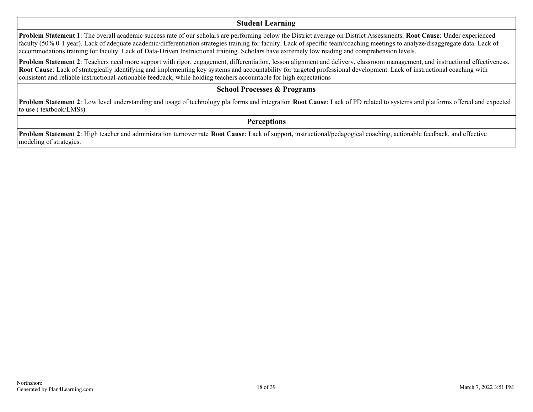#### **Student Learning**

**Problem Statement 1**: The overall academic success rate of our scholars are performing below the District average on District Assessments. **Root Cause**: Under experienced faculty (50% 0-1 year). Lack of adequate academic/differentiation strategies training for faculty. Lack of specific team/coaching meetings to analyze/disaggregate data. Lack of accommodations training for faculty. Lack of Data-Driven Instructional training. Scholars have extremely low reading and comprehension levels.

**Problem Statement 2**: Teachers need more support with rigor, engagement, differentiation, lesson alignment and delivery, classroom management, and instructional effectiveness. **Root Cause**: Lack of strategically identifying and implementing key systems and accountability for targeted professional development. Lack of instructional coaching with consistent and reliable instructional-actionable feedback, while holding teachers accountable for high expectations

### **School Processes & Programs**

**Problem Statement 2**: Low level understanding and usage of technology platforms and integration **Root Cause**: Lack of PD related to systems and platforms offered and expected to use ( textbook/LMSs)

**Perceptions**

**Problem Statement 2**: High teacher and administration turnover rate **Root Cause**: Lack of support, instructional/pedagogical coaching, actionable feedback, and effective modeling of strategies.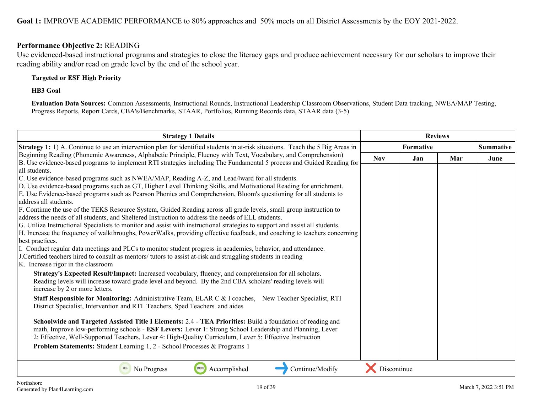# **Performance Objective 2:** READING

Use evidenced-based instructional programs and strategies to close the literacy gaps and produce achievement necessary for our scholars to improve their reading ability and/or read on grade level by the end of the school year.

### **Targeted or ESF High Priority**

### **HB3 Goal**

**Evaluation Data Sources:** Common Assessments, Instructional Rounds, Instructional Leadership Classroom Observations, Student Data tracking, NWEA/MAP Testing, Progress Reports, Report Cards, CBA's/Benchmarks, STAAR, Portfolios, Running Records data, STAAR data (3-5)

| <b>Strategy 1 Details</b>                                                                                                             |             | <b>Reviews</b> |     |                  |
|---------------------------------------------------------------------------------------------------------------------------------------|-------------|----------------|-----|------------------|
| <b>Strategy 1:</b> 1) A. Continue to use an intervention plan for identified students in at-risk situations. Teach the 5 Big Areas in |             | Formative      |     | <b>Summative</b> |
| Beginning Reading (Phonemic Awareness, Alphabetic Principle, Fluency with Text, Vocabulary, and Comprehension)                        | <b>Nov</b>  | Jan            | Mar | June             |
| B. Use evidence-based programs to implement RTI strategies including The Fundamental 5 process and Guided Reading for                 |             |                |     |                  |
| all students.<br>C. Use evidence-based programs such as NWEA/MAP, Reading A-Z, and Lead4ward for all students.                        |             |                |     |                  |
| D. Use evidence-based programs such as GT, Higher Level Thinking Skills, and Motivational Reading for enrichment.                     |             |                |     |                  |
| E. Use Evidence-based programs such as Pearson Phonics and Comprehension, Bloom's questioning for all students to                     |             |                |     |                  |
| address all students.                                                                                                                 |             |                |     |                  |
| F. Continue the use of the TEKS Resource System, Guided Reading across all grade levels, small group instruction to                   |             |                |     |                  |
| address the needs of all students, and Sheltered Instruction to address the needs of ELL students.                                    |             |                |     |                  |
| G. Utilize Instructional Specialists to monitor and assist with instructional strategies to support and assist all students.          |             |                |     |                  |
| H. Increase the frequency of walkthroughs, PowerWalks, providing effective feedback, and coaching to teachers concerning              |             |                |     |                  |
| best practices.                                                                                                                       |             |                |     |                  |
| I. Conduct regular data meetings and PLCs to monitor student progress in academics, behavior, and attendance.                         |             |                |     |                  |
| J. Certified teachers hired to consult as mentors/ tutors to assist at-risk and struggling students in reading                        |             |                |     |                  |
| K. Increase rigor in the classroom                                                                                                    |             |                |     |                  |
| Strategy's Expected Result/Impact: Increased vocabulary, fluency, and comprehension for all scholars.                                 |             |                |     |                  |
| Reading levels will increase toward grade level and beyond. By the 2nd CBA scholars' reading levels will                              |             |                |     |                  |
| increase by 2 or more letters.                                                                                                        |             |                |     |                  |
| Staff Responsible for Monitoring: Administrative Team, ELAR C & I coaches, New Teacher Specialist, RTI                                |             |                |     |                  |
| District Specialist, Intervention and RTI Teachers, Sped Teachers and aides                                                           |             |                |     |                  |
|                                                                                                                                       |             |                |     |                  |
| Schoolwide and Targeted Assisted Title I Elements: 2.4 - TEA Priorities: Build a foundation of reading and                            |             |                |     |                  |
| math, Improve low-performing schools - ESF Levers: Lever 1: Strong School Leadership and Planning, Lever                              |             |                |     |                  |
| 2: Effective, Well-Supported Teachers, Lever 4: High-Quality Curriculum, Lever 5: Effective Instruction                               |             |                |     |                  |
| Problem Statements: Student Learning 1, 2 - School Processes & Programs 1                                                             |             |                |     |                  |
|                                                                                                                                       |             |                |     |                  |
| No Progress<br>100%<br>Accomplished<br>Continue/Modify                                                                                | Discontinue |                |     |                  |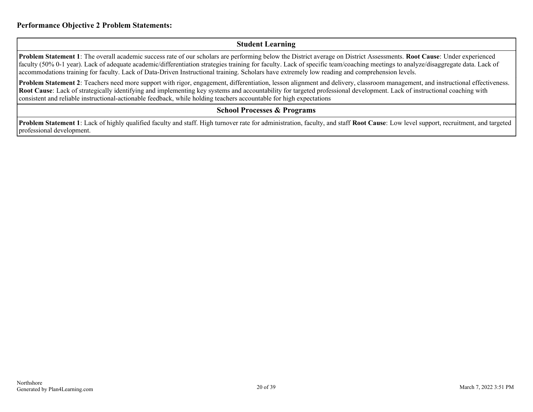# **Student Learning**

**Problem Statement 1**: The overall academic success rate of our scholars are performing below the District average on District Assessments. **Root Cause**: Under experienced faculty (50% 0-1 year). Lack of adequate academic/differentiation strategies training for faculty. Lack of specific team/coaching meetings to analyze/disaggregate data. Lack of accommodations training for faculty. Lack of Data-Driven Instructional training. Scholars have extremely low reading and comprehension levels.

**Problem Statement 2**: Teachers need more support with rigor, engagement, differentiation, lesson alignment and delivery, classroom management, and instructional effectiveness. **Root Cause**: Lack of strategically identifying and implementing key systems and accountability for targeted professional development. Lack of instructional coaching with consistent and reliable instructional-actionable feedback, while holding teachers accountable for high expectations

# **School Processes & Programs**

**Problem Statement 1**: Lack of highly qualified faculty and staff. High turnover rate for administration, faculty, and staff **Root Cause**: Low level support, recruitment, and targeted professional development.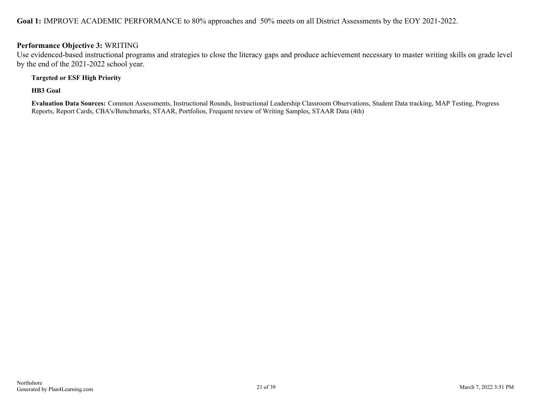# **Goal 1:** IMPROVE ACADEMIC PERFORMANCE to 80% approaches and 50% meets on all District Assessments by the EOY 2021-2022.

# **Performance Objective 3:** WRITING

Use evidenced-based instructional programs and strategies to close the literacy gaps and produce achievement necessary to master writing skills on grade level by the end of the 2021-2022 school year.

**Targeted or ESF High Priority**

**HB3 Goal**

**Evaluation Data Sources:** Common Assessments, Instructional Rounds, Instructional Leadership Classroom Observations, Student Data tracking, MAP Testing, Progress Reports, Report Cards, CBA's/Benchmarks, STAAR, Portfolios, Frequent review of Writing Samples, STAAR Data (4th)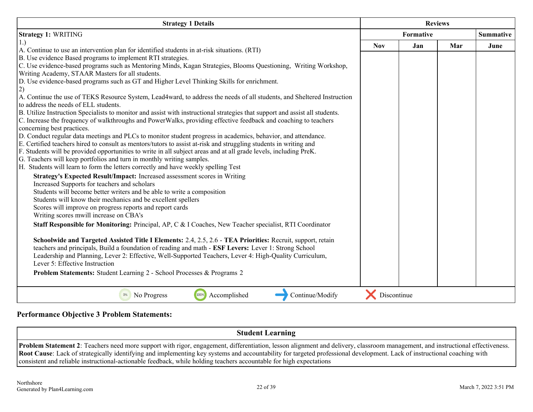| <b>Strategy 1 Details</b>                                                                                                                                           |             |           | <b>Reviews</b> |                  |
|---------------------------------------------------------------------------------------------------------------------------------------------------------------------|-------------|-----------|----------------|------------------|
| <b>Strategy 1: WRITING</b>                                                                                                                                          |             | Formative |                | <b>Summative</b> |
| 1.                                                                                                                                                                  | <b>Nov</b>  | Jan       | Mar            | June             |
| A. Continue to use an intervention plan for identified students in at-risk situations. (RTI)                                                                        |             |           |                |                  |
| B. Use evidence Based programs to implement RTI strategies.                                                                                                         |             |           |                |                  |
| C. Use evidence-based programs such as Mentoring Minds, Kagan Strategies, Blooms Questioning, Writing Workshop,<br>Writing Academy, STAAR Masters for all students. |             |           |                |                  |
| D. Use evidence-based programs such as GT and Higher Level Thinking Skills for enrichment.                                                                          |             |           |                |                  |
| 2)                                                                                                                                                                  |             |           |                |                  |
| A. Continue the use of TEKS Resource System, Lead4ward, to address the needs of all students, and Sheltered Instruction                                             |             |           |                |                  |
| to address the needs of ELL students.                                                                                                                               |             |           |                |                  |
| B. Utilize Instruction Specialists to monitor and assist with instructional strategies that support and assist all students.                                        |             |           |                |                  |
| C. Increase the frequency of walkthroughs and PowerWalks, providing effective feedback and coaching to teachers                                                     |             |           |                |                  |
| concerning best practices.                                                                                                                                          |             |           |                |                  |
| D. Conduct regular data meetings and PLCs to monitor student progress in academics, behavior, and attendance.                                                       |             |           |                |                  |
| E. Certified teachers hired to consult as mentors/tutors to assist at-risk and struggling students in writing and                                                   |             |           |                |                  |
| F. Students will be provided opportunities to write in all subject areas and at all grade levels, including PreK.                                                   |             |           |                |                  |
| G. Teachers will keep portfolios and turn in monthly writing samples.<br>H. Students will learn to form the letters correctly and have weekly spelling Test         |             |           |                |                  |
|                                                                                                                                                                     |             |           |                |                  |
| Strategy's Expected Result/Impact: Increased assessment scores in Writing                                                                                           |             |           |                |                  |
| Increased Supports for teachers and scholars                                                                                                                        |             |           |                |                  |
| Students will become better writers and be able to write a composition                                                                                              |             |           |                |                  |
| Students will know their mechanics and be excellent spellers<br>Scores will improve on progress reports and report cards                                            |             |           |                |                  |
| Writing scores mwill increase on CBA's                                                                                                                              |             |           |                |                  |
|                                                                                                                                                                     |             |           |                |                  |
| <b>Staff Responsible for Monitoring:</b> Principal, AP, C & I Coaches, New Teacher specialist, RTI Coordinator                                                      |             |           |                |                  |
| Schoolwide and Targeted Assisted Title I Elements: 2.4, 2.5, 2.6 - TEA Priorities: Recruit, support, retain                                                         |             |           |                |                  |
| teachers and principals, Build a foundation of reading and math - ESF Levers: Lever 1: Strong School                                                                |             |           |                |                  |
| Leadership and Planning, Lever 2: Effective, Well-Supported Teachers, Lever 4: High-Quality Curriculum,                                                             |             |           |                |                  |
| Lever 5: Effective Instruction                                                                                                                                      |             |           |                |                  |
| Problem Statements: Student Learning 2 - School Processes & Programs 2                                                                                              |             |           |                |                  |
|                                                                                                                                                                     |             |           |                |                  |
| 100%<br>Accomplished<br>Continue/Modify<br>0%<br>No Progress                                                                                                        | Discontinue |           |                |                  |

# **Performance Objective 3 Problem Statements:**

**Student Learning**

**Problem Statement 2**: Teachers need more support with rigor, engagement, differentiation, lesson alignment and delivery, classroom management, and instructional effectiveness. **Root Cause**: Lack of strategically identifying and implementing key systems and accountability for targeted professional development. Lack of instructional coaching with consistent and reliable instructional-actionable feedback, while holding teachers accountable for high expectations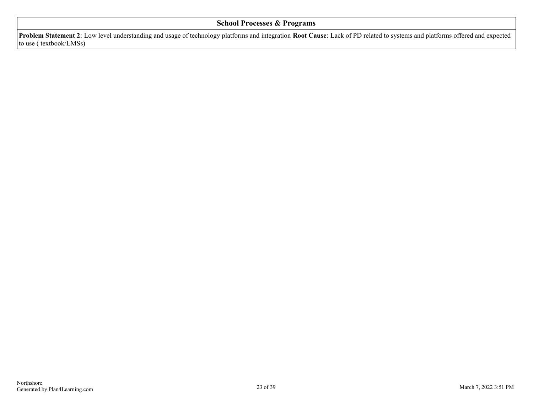# **School Processes & Programs**

**Problem Statement 2**: Low level understanding and usage of technology platforms and integration **Root Cause**: Lack of PD related to systems and platforms offered and expected to use ( textbook/LMSs)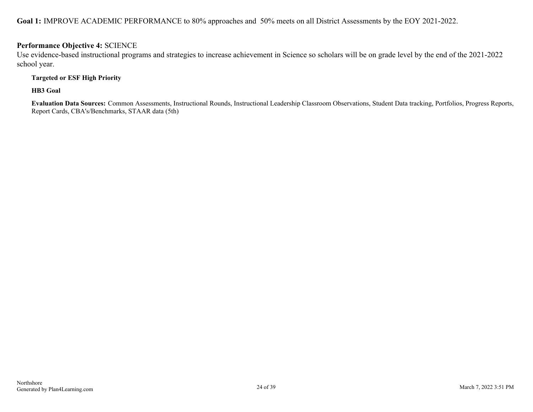**Goal 1:** IMPROVE ACADEMIC PERFORMANCE to 80% approaches and 50% meets on all District Assessments by the EOY 2021-2022.

# **Performance Objective 4:** SCIENCE

Use evidence-based instructional programs and strategies to increase achievement in Science so scholars will be on grade level by the end of the 2021-2022 school year.

### **Targeted or ESF High Priority**

**HB3 Goal**

**Evaluation Data Sources:** Common Assessments, Instructional Rounds, Instructional Leadership Classroom Observations, Student Data tracking, Portfolios, Progress Reports, Report Cards, CBA's/Benchmarks, STAAR data (5th)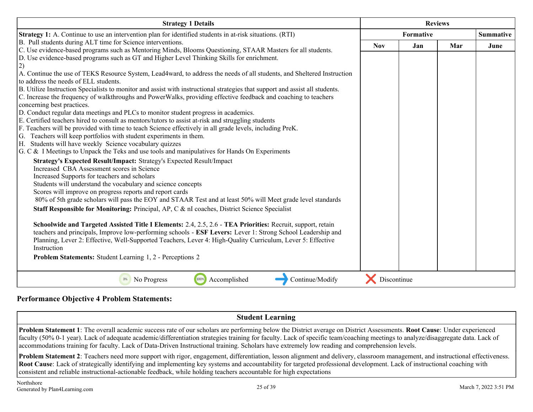| <b>Strategy 1 Details</b>                                                                                                                                                                                                                                                                                                                                                                                             |             |     | <b>Reviews</b> |                  |
|-----------------------------------------------------------------------------------------------------------------------------------------------------------------------------------------------------------------------------------------------------------------------------------------------------------------------------------------------------------------------------------------------------------------------|-------------|-----|----------------|------------------|
| <b>Strategy 1:</b> A. Continue to use an intervention plan for identified students in at-risk situations. (RTI)                                                                                                                                                                                                                                                                                                       | Formative   |     |                | <b>Summative</b> |
| B. Pull students during ALT time for Science interventions.                                                                                                                                                                                                                                                                                                                                                           | <b>Nov</b>  | Jan | Mar            | June             |
| C. Use evidence-based programs such as Mentoring Minds, Blooms Questioning, STAAR Masters for all students.                                                                                                                                                                                                                                                                                                           |             |     |                |                  |
| D. Use evidence-based programs such as GT and Higher Level Thinking Skills for enrichment.                                                                                                                                                                                                                                                                                                                            |             |     |                |                  |
|                                                                                                                                                                                                                                                                                                                                                                                                                       |             |     |                |                  |
| A. Continue the use of TEKS Resource System, Lead4ward, to address the needs of all students, and Sheltered Instruction<br>to address the needs of ELL students.                                                                                                                                                                                                                                                      |             |     |                |                  |
| B. Utilize Instruction Specialists to monitor and assist with instructional strategies that support and assist all students.                                                                                                                                                                                                                                                                                          |             |     |                |                  |
| C. Increase the frequency of walkthroughs and PowerWalks, providing effective feedback and coaching to teachers                                                                                                                                                                                                                                                                                                       |             |     |                |                  |
| concerning best practices.                                                                                                                                                                                                                                                                                                                                                                                            |             |     |                |                  |
| D. Conduct regular data meetings and PLCs to monitor student progress in academics.                                                                                                                                                                                                                                                                                                                                   |             |     |                |                  |
| E. Certified teachers hired to consult as mentors/tutors to assist at-risk and struggling students                                                                                                                                                                                                                                                                                                                    |             |     |                |                  |
| F. Teachers will be provided with time to teach Science effectively in all grade levels, including PreK.                                                                                                                                                                                                                                                                                                              |             |     |                |                  |
| G. Teachers will keep portfolios with student experiments in them.                                                                                                                                                                                                                                                                                                                                                    |             |     |                |                  |
| H. Students will have weekly Science vocabulary quizzes                                                                                                                                                                                                                                                                                                                                                               |             |     |                |                  |
| G. C & I Meetings to Unpack the Teks and use tools and manipulatives for Hands On Experiments                                                                                                                                                                                                                                                                                                                         |             |     |                |                  |
| Strategy's Expected Result/Impact: Strategy's Expected Result/Impact                                                                                                                                                                                                                                                                                                                                                  |             |     |                |                  |
| Increased CBA Assessment scores in Science                                                                                                                                                                                                                                                                                                                                                                            |             |     |                |                  |
| Increased Supports for teachers and scholars                                                                                                                                                                                                                                                                                                                                                                          |             |     |                |                  |
| Students will understand the vocabulary and science concepts                                                                                                                                                                                                                                                                                                                                                          |             |     |                |                  |
| Scores will improve on progress reports and report cards                                                                                                                                                                                                                                                                                                                                                              |             |     |                |                  |
| 80% of 5th grade scholars will pass the EOY and STAAR Test and at least 50% will Meet grade level standards                                                                                                                                                                                                                                                                                                           |             |     |                |                  |
| <b>Staff Responsible for Monitoring:</b> Principal, AP, C & nI coaches, District Science Specialist                                                                                                                                                                                                                                                                                                                   |             |     |                |                  |
| Schoolwide and Targeted Assisted Title I Elements: 2.4, 2.5, 2.6 - TEA Priorities: Recruit, support, retain<br>teachers and principals, Improve low-performing schools - ESF Levers: Lever 1: Strong School Leadership and<br>Planning, Lever 2: Effective, Well-Supported Teachers, Lever 4: High-Quality Curriculum, Lever 5: Effective<br>Instruction<br>Problem Statements: Student Learning 1, 2 - Perceptions 2 |             |     |                |                  |
| 100%<br>Accomplished<br>Continue/Modify<br>No Progress<br>0%                                                                                                                                                                                                                                                                                                                                                          | Discontinue |     |                |                  |

# **Performance Objective 4 Problem Statements:**

**Student Learning**

**Problem Statement 1**: The overall academic success rate of our scholars are performing below the District average on District Assessments. **Root Cause**: Under experienced faculty (50% 0-1 year). Lack of adequate academic/differentiation strategies training for faculty. Lack of specific team/coaching meetings to analyze/disaggregate data. Lack of accommodations training for faculty. Lack of Data-Driven Instructional training. Scholars have extremely low reading and comprehension levels.

**Problem Statement 2**: Teachers need more support with rigor, engagement, differentiation, lesson alignment and delivery, classroom management, and instructional effectiveness. **Root Cause**: Lack of strategically identifying and implementing key systems and accountability for targeted professional development. Lack of instructional coaching with consistent and reliable instructional-actionable feedback, while holding teachers accountable for high expectations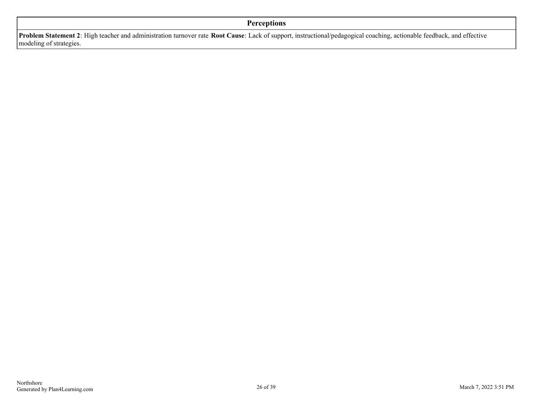# **Perceptions**

**Problem Statement 2**: High teacher and administration turnover rate **Root Cause**: Lack of support, instructional/pedagogical coaching, actionable feedback, and effective modeling of strategies.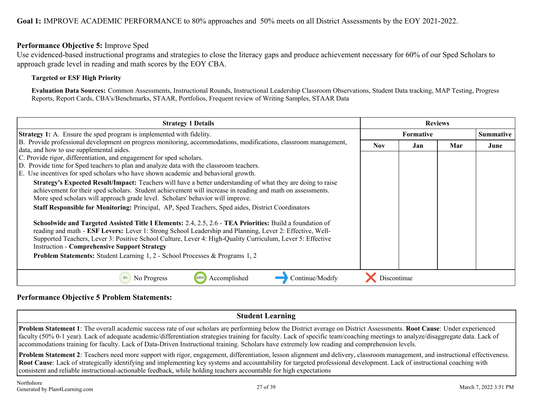# **Performance Objective 5:** Improve Sped

Use evidenced-based instructional programs and strategies to close the literacy gaps and produce achievement necessary for 60% of our Sped Scholars to approach grade level in reading and math scores by the EOY CBA.

#### **Targeted or ESF High Priority**

**Evaluation Data Sources:** Common Assessments, Instructional Rounds, Instructional Leadership Classroom Observations, Student Data tracking, MAP Testing, Progress Reports, Report Cards, CBA's/Benchmarks, STAAR, Portfolios, Frequent review of Writing Samples, STAAR Data

| <b>Strategy 1 Details</b>                                                                                                                                                                                                                                                                                                                                                                 |             |                  | <b>Reviews</b> |                  |
|-------------------------------------------------------------------------------------------------------------------------------------------------------------------------------------------------------------------------------------------------------------------------------------------------------------------------------------------------------------------------------------------|-------------|------------------|----------------|------------------|
| <b>Strategy 1:</b> A. Ensure the sped program is implemented with fidelity.                                                                                                                                                                                                                                                                                                               |             | <b>Formative</b> |                | <b>Summative</b> |
| B. Provide professional development on progress monitoring, accommodations, modifications, classroom management,<br>data, and how to use supplemental aides.                                                                                                                                                                                                                              | <b>Nov</b>  | Jan              | Mar            | June             |
| C. Provide rigor, differentiation, and engagement for sped scholars.                                                                                                                                                                                                                                                                                                                      |             |                  |                |                  |
| D. Provide time for Sped teachers to plan and analyze data with the classroom teachers.<br>E. Use incentives for sped scholars who have shown academic and behavioral growth.                                                                                                                                                                                                             |             |                  |                |                  |
| <b>Strategy's Expected Result/Impact:</b> Teachers will have a better understanding of what they are doing to raise<br>achievement for their sped scholars. Student achievement will increase in reading and math on assessments.<br>More sped scholars will approach grade level. Scholars' behavior will improve.                                                                       |             |                  |                |                  |
| Staff Responsible for Monitoring: Principal, AP, Sped Teachers, Sped aides, District Coordinators                                                                                                                                                                                                                                                                                         |             |                  |                |                  |
| Schoolwide and Targeted Assisted Title I Elements: 2.4, 2.5, 2.6 - TEA Priorities: Build a foundation of<br>reading and math - ESF Levers: Lever 1: Strong School Leadership and Planning, Lever 2: Effective, Well-<br>Supported Teachers, Lever 3: Positive School Culture, Lever 4: High-Quality Curriculum, Lever 5: Effective<br><b>Instruction - Comprehensive Support Strategy</b> |             |                  |                |                  |
| <b>Problem Statements:</b> Student Learning 1, 2 - School Processes & Programs 1, 2                                                                                                                                                                                                                                                                                                       |             |                  |                |                  |
| No Progress<br>Accomplished<br>Continue/Modify                                                                                                                                                                                                                                                                                                                                            | Discontinue |                  |                |                  |

# **Performance Objective 5 Problem Statements:**

**Student Learning**

**Problem Statement 1**: The overall academic success rate of our scholars are performing below the District average on District Assessments. **Root Cause**: Under experienced faculty (50% 0-1 year). Lack of adequate academic/differentiation strategies training for faculty. Lack of specific team/coaching meetings to analyze/disaggregate data. Lack of accommodations training for faculty. Lack of Data-Driven Instructional training. Scholars have extremely low reading and comprehension levels.

**Problem Statement 2**: Teachers need more support with rigor, engagement, differentiation, lesson alignment and delivery, classroom management, and instructional effectiveness. **Root Cause**: Lack of strategically identifying and implementing key systems and accountability for targeted professional development. Lack of instructional coaching with consistent and reliable instructional-actionable feedback, while holding teachers accountable for high expectations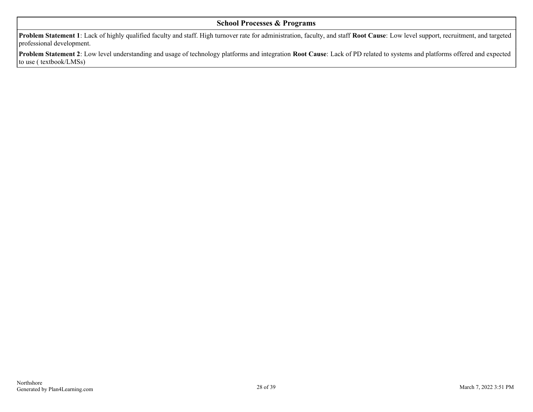### **School Processes & Programs**

**Problem Statement 1**: Lack of highly qualified faculty and staff. High turnover rate for administration, faculty, and staff **Root Cause**: Low level support, recruitment, and targeted professional development.

**Problem Statement 2**: Low level understanding and usage of technology platforms and integration **Root Cause**: Lack of PD related to systems and platforms offered and expected to use ( textbook/LMSs)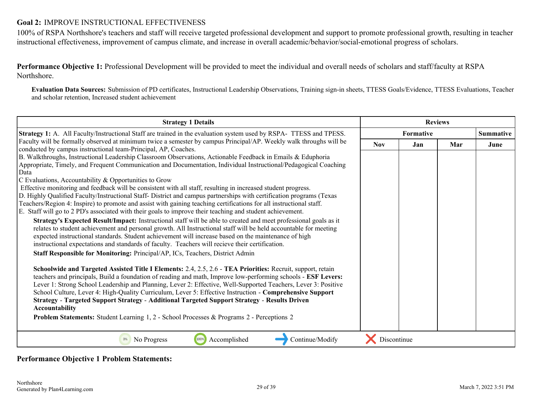# <span id="page-28-0"></span>**Goal 2:** IMPROVE INSTRUCTIONAL EFFECTIVENESS

100% of RSPA Northshore's teachers and staff will receive targeted professional development and support to promote professional growth, resulting in teacher instructional effectiveness, improvement of campus climate, and increase in overall academic/behavior/social-emotional progress of scholars.

**Performance Objective 1:** Professional Development will be provided to meet the individual and overall needs of scholars and staff/faculty at RSPA Northshore.

**Evaluation Data Sources:** Submission of PD certificates, Instructional Leadership Observations, Training sign-in sheets, TTESS Goals/Evidence, TTESS Evaluations, Teacher and scholar retention, Increased student achievement

| <b>Strategy 1 Details</b>                                                                                                                                                                                                                                                                                                                                                                                                                                                                                                                                                                                                                                                                                                                                                                                                                                                                                                                                                                                                                                                                                                                                                                                                                                                                                                                                                                                                                                                                                                                                                                                                                                                                                                                                                                                                                                                                                                                                                                                                                                                 |             | <b>Reviews</b> |     |                  |
|---------------------------------------------------------------------------------------------------------------------------------------------------------------------------------------------------------------------------------------------------------------------------------------------------------------------------------------------------------------------------------------------------------------------------------------------------------------------------------------------------------------------------------------------------------------------------------------------------------------------------------------------------------------------------------------------------------------------------------------------------------------------------------------------------------------------------------------------------------------------------------------------------------------------------------------------------------------------------------------------------------------------------------------------------------------------------------------------------------------------------------------------------------------------------------------------------------------------------------------------------------------------------------------------------------------------------------------------------------------------------------------------------------------------------------------------------------------------------------------------------------------------------------------------------------------------------------------------------------------------------------------------------------------------------------------------------------------------------------------------------------------------------------------------------------------------------------------------------------------------------------------------------------------------------------------------------------------------------------------------------------------------------------------------------------------------------|-------------|----------------|-----|------------------|
| Strategy 1: A. All Faculty/Instructional Staff are trained in the evaluation system used by RSPA-TTESS and TPESS.                                                                                                                                                                                                                                                                                                                                                                                                                                                                                                                                                                                                                                                                                                                                                                                                                                                                                                                                                                                                                                                                                                                                                                                                                                                                                                                                                                                                                                                                                                                                                                                                                                                                                                                                                                                                                                                                                                                                                         |             | Formative      |     | <b>Summative</b> |
| Faculty will be formally observed at minimum twice a semester by campus Principal/AP. Weekly walk throughs will be                                                                                                                                                                                                                                                                                                                                                                                                                                                                                                                                                                                                                                                                                                                                                                                                                                                                                                                                                                                                                                                                                                                                                                                                                                                                                                                                                                                                                                                                                                                                                                                                                                                                                                                                                                                                                                                                                                                                                        | <b>Nov</b>  | Jan            | Mar | June             |
| conducted by campus instructional team-Principal, AP, Coaches.<br>B. Walkthroughs, Instructional Leadership Classroom Observations, Actionable Feedback in Emails & Eduphoria<br>Appropriate, Timely, and Frequent Communication and Documentation, Individual Instructional/Pedagogical Coaching<br> Data<br>C Evaluations, Accountability $&$ Opportunities to Grow<br>Effective monitoring and feedback will be consistent with all staff, resulting in increased student progress.<br>D. Highly Qualified Faculty/Instructional Staff-District and campus partnerships with certification programs (Texas<br>Teachers/Region 4: Inspire) to promote and assist with gaining teaching certifications for all instructional staff.<br>E. Staff will go to 2 PD's associated with their goals to improve their teaching and student achievement.<br>Strategy's Expected Result/Impact: Instructional staff will be able to created and meet professional goals as it<br>relates to student achievement and personal growth. All Instructional staff will be held accountable for meeting<br>expected instructional standards. Student achievement will increase based on the maintenance of high<br>instructional expectations and standards of faculty. Teachers will recieve their certification.<br>Staff Responsible for Monitoring: Principal/AP, ICs, Teachers, District Admin<br>Schoolwide and Targeted Assisted Title I Elements: 2.4, 2.5, 2.6 - TEA Priorities: Recruit, support, retain<br>teachers and principals, Build a foundation of reading and math, Improve low-performing schools - ESF Levers:<br>Lever 1: Strong School Leadership and Planning, Lever 2: Effective, Well-Supported Teachers, Lever 3: Positive<br>School Culture, Lever 4: High-Quality Curriculum, Lever 5: Effective Instruction - Comprehensive Support<br>Strategy - Targeted Support Strategy - Additional Targeted Support Strategy - Results Driven<br><b>Accountability</b><br>Problem Statements: Student Learning 1, 2 - School Processes & Programs 2 - Perceptions 2 |             |                |     |                  |
| No Progress<br>100%<br>Accomplished<br>Continue/Modify<br>0%                                                                                                                                                                                                                                                                                                                                                                                                                                                                                                                                                                                                                                                                                                                                                                                                                                                                                                                                                                                                                                                                                                                                                                                                                                                                                                                                                                                                                                                                                                                                                                                                                                                                                                                                                                                                                                                                                                                                                                                                              | Discontinue |                |     |                  |

**Performance Objective 1 Problem Statements:**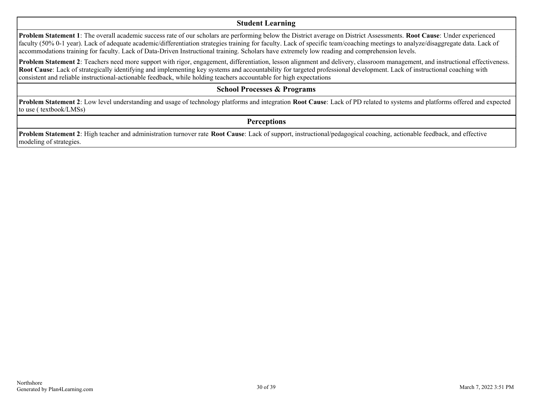#### **Student Learning**

**Problem Statement 1**: The overall academic success rate of our scholars are performing below the District average on District Assessments. **Root Cause**: Under experienced faculty (50% 0-1 year). Lack of adequate academic/differentiation strategies training for faculty. Lack of specific team/coaching meetings to analyze/disaggregate data. Lack of accommodations training for faculty. Lack of Data-Driven Instructional training. Scholars have extremely low reading and comprehension levels.

**Problem Statement 2**: Teachers need more support with rigor, engagement, differentiation, lesson alignment and delivery, classroom management, and instructional effectiveness. **Root Cause**: Lack of strategically identifying and implementing key systems and accountability for targeted professional development. Lack of instructional coaching with consistent and reliable instructional-actionable feedback, while holding teachers accountable for high expectations

### **School Processes & Programs**

**Problem Statement 2**: Low level understanding and usage of technology platforms and integration **Root Cause**: Lack of PD related to systems and platforms offered and expected to use ( textbook/LMSs)

**Perceptions**

**Problem Statement 2**: High teacher and administration turnover rate **Root Cause**: Lack of support, instructional/pedagogical coaching, actionable feedback, and effective modeling of strategies.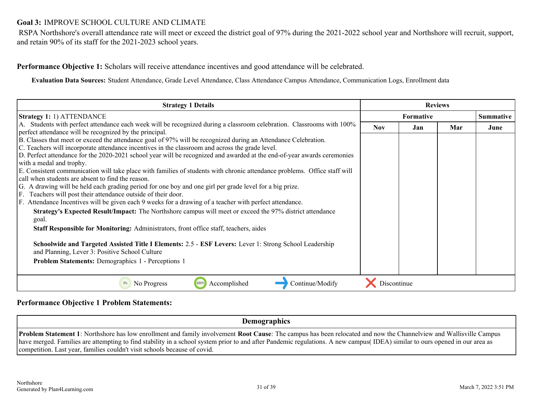# <span id="page-30-0"></span>**Goal 3:** IMPROVE SCHOOL CULTURE AND CLIMATE

 RSPA Northshore's overall attendance rate will meet or exceed the district goal of 97% during the 2021-2022 school year and Northshore will recruit, support, and retain 90% of its staff for the 2021-2023 school years.

**Performance Objective 1:** Scholars will receive attendance incentives and good attendance will be celebrated.

**Evaluation Data Sources:** Student Attendance, Grade Level Attendance, Class Attendance Campus Attendance, Communication Logs, Enrollment data

| <b>Strategy 1 Details</b>                                                                                                 |             |                  | <b>Reviews</b> |                  |
|---------------------------------------------------------------------------------------------------------------------------|-------------|------------------|----------------|------------------|
| <b>Strategy 1: 1) ATTENDANCE</b>                                                                                          |             | <b>Formative</b> |                | <b>Summative</b> |
| A. Students with perfect attendance each week will be recognized during a classroom celebration. Classrooms with 100%     | Nov.        | Jan              | Mar            | June             |
| perfect attendance will be recognized by the principal.                                                                   |             |                  |                |                  |
| B. Classes that meet or exceed the attendance goal of 97% will be recognized during an Attendance Celebration.            |             |                  |                |                  |
| C. Teachers will incorporate attendance incentives in the classroom and across the grade level.                           |             |                  |                |                  |
| D. Perfect attendance for the 2020-2021 school year will be recognized and awarded at the end-of-year awards ceremonies   |             |                  |                |                  |
| with a medal and trophy.                                                                                                  |             |                  |                |                  |
| E. Consistent communication will take place with families of students with chronic attendance problems. Office staff will |             |                  |                |                  |
| call when students are absent to find the reason.                                                                         |             |                  |                |                  |
| G. A drawing will be held each grading period for one boy and one girl per grade level for a big prize.                   |             |                  |                |                  |
| F. Teachers will post their attendance outside of their door.                                                             |             |                  |                |                  |
| F. Attendance Incentives will be given each 9 weeks for a drawing of a teacher with perfect attendance.                   |             |                  |                |                  |
|                                                                                                                           |             |                  |                |                  |
| <b>Strategy's Expected Result/Impact:</b> The Northshore campus will meet or exceed the 97% district attendance           |             |                  |                |                  |
| goal.                                                                                                                     |             |                  |                |                  |
| Staff Responsible for Monitoring: Administrators, front office staff, teachers, aides                                     |             |                  |                |                  |
|                                                                                                                           |             |                  |                |                  |
| Schoolwide and Targeted Assisted Title I Elements: 2.5 - ESF Levers: Lever 1: Strong School Leadership                    |             |                  |                |                  |
| and Planning, Lever 3: Positive School Culture                                                                            |             |                  |                |                  |
| Problem Statements: Demographics 1 - Perceptions 1                                                                        |             |                  |                |                  |
|                                                                                                                           |             |                  |                |                  |
|                                                                                                                           |             |                  |                |                  |
| Continue/Modify<br>No Progress<br>Accomplished                                                                            | Discontinue |                  |                |                  |

# **Performance Objective 1 Problem Statements:**

**Demographics**

**Problem Statement 1**: Northshore has low enrollment and family involvement **Root Cause**: The campus has been relocated and now the Channelview and Wallisville Campus have merged. Families are attempting to find stability in a school system prior to and after Pandemic regulations. A new campus(IDEA) similar to ours opened in our area as competition. Last year, families couldn't visit schools because of covid.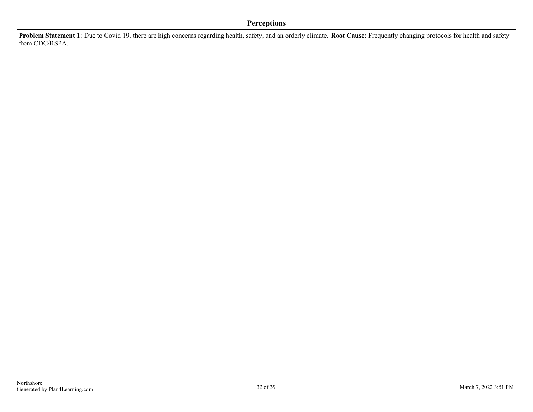**Problem Statement 1**: Due to Covid 19, there are high concerns regarding health, safety, and an orderly climate. **Root Cause**: Frequently changing protocols for health and safety from CDC/RSPA.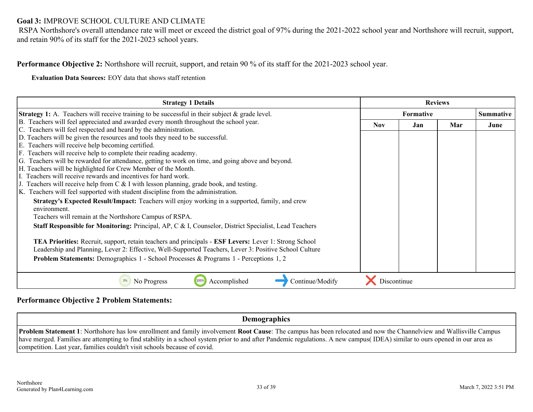# **Goal 3:** IMPROVE SCHOOL CULTURE AND CLIMATE

 RSPA Northshore's overall attendance rate will meet or exceed the district goal of 97% during the 2021-2022 school year and Northshore will recruit, support, and retain 90% of its staff for the 2021-2023 school years.

**Performance Objective 2:** Northshore will recruit, support, and retain 90 % of its staff for the 2021-2023 school year.

**Evaluation Data Sources:** EOY data that shows staff retention

| <b>Strategy 1 Details</b>                                                                                                                                                                                                                                                                                                                                                                                                                                                                                                                                                                                                                                                                                                                                                                                                                                                                                                                                                                                                                                                                                                                                                                                                                                                                                                                                                                                            |             | <b>Reviews</b>   |     |                  |
|----------------------------------------------------------------------------------------------------------------------------------------------------------------------------------------------------------------------------------------------------------------------------------------------------------------------------------------------------------------------------------------------------------------------------------------------------------------------------------------------------------------------------------------------------------------------------------------------------------------------------------------------------------------------------------------------------------------------------------------------------------------------------------------------------------------------------------------------------------------------------------------------------------------------------------------------------------------------------------------------------------------------------------------------------------------------------------------------------------------------------------------------------------------------------------------------------------------------------------------------------------------------------------------------------------------------------------------------------------------------------------------------------------------------|-------------|------------------|-----|------------------|
| <b>Strategy 1:</b> A. Teachers will receive training to be successful in their subject $\&$ grade level.                                                                                                                                                                                                                                                                                                                                                                                                                                                                                                                                                                                                                                                                                                                                                                                                                                                                                                                                                                                                                                                                                                                                                                                                                                                                                                             |             | <b>Formative</b> |     | <b>Summative</b> |
| B. Teachers will feel appreciated and awarded every month throughout the school year.<br>C. Teachers will feel respected and heard by the administration.<br>D. Teachers will be given the resources and tools they need to be successful.<br>E. Teachers will receive help becoming certified.<br>F. Teachers will receive help to complete their reading academy.<br>G. Teachers will be rewarded for attendance, getting to work on time, and going above and beyond.<br>H. Teachers will be highlighted for Crew Member of the Month.<br>I. Teachers will receive rewards and incentives for hard work.<br>J. Teachers will receive help from $C \& 1$ with lesson planning, grade book, and testing.<br>K. Teachers will feel supported with student discipline from the administration.<br><b>Strategy's Expected Result/Impact:</b> Teachers will enjoy working in a supported, family, and crew<br>environment.<br>Teachers will remain at the Northshore Campus of RSPA.<br><b>Staff Responsible for Monitoring:</b> Principal, AP, C & I, Counselor, District Specialist, Lead Teachers<br>TEA Priorities: Recruit, support, retain teachers and principals - ESF Levers: Lever 1: Strong School<br>Leadership and Planning, Lever 2: Effective, Well-Supported Teachers, Lever 3: Positive School Culture<br><b>Problem Statements:</b> Demographics 1 - School Processes & Programs 1 - Perceptions 1, 2 | <b>Nov</b>  | Jan              | Mar | June             |
| Continue/Modify<br>No Progress<br>Accomplished                                                                                                                                                                                                                                                                                                                                                                                                                                                                                                                                                                                                                                                                                                                                                                                                                                                                                                                                                                                                                                                                                                                                                                                                                                                                                                                                                                       | Discontinue |                  |     |                  |

### **Performance Objective 2 Problem Statements:**

**Demographics**

**Problem Statement 1**: Northshore has low enrollment and family involvement **Root Cause**: The campus has been relocated and now the Channelview and Wallisville Campus have merged. Families are attempting to find stability in a school system prior to and after Pandemic regulations. A new campus(IDEA) similar to ours opened in our area as competition. Last year, families couldn't visit schools because of covid.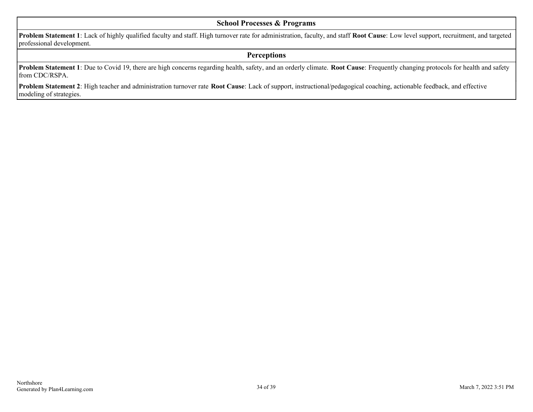### **School Processes & Programs**

**Problem Statement 1**: Lack of highly qualified faculty and staff. High turnover rate for administration, faculty, and staff **Root Cause**: Low level support, recruitment, and targeted professional development.

# **Perceptions**

**Problem Statement 1**: Due to Covid 19, there are high concerns regarding health, safety, and an orderly climate. **Root Cause**: Frequently changing protocols for health and safety from CDC/RSPA.

**Problem Statement 2**: High teacher and administration turnover rate **Root Cause**: Lack of support, instructional/pedagogical coaching, actionable feedback, and effective modeling of strategies.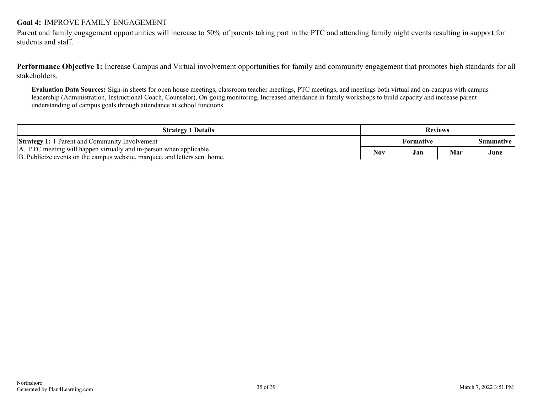# <span id="page-34-0"></span>**Goal 4:** IMPROVE FAMILY ENGAGEMENT

Parent and family engagement opportunities will increase to 50% of parents taking part in the PTC and attending family night events resulting in support for students and staff.

**Performance Objective 1:** Increase Campus and Virtual involvement opportunities for family and community engagement that promotes high standards for all stakeholders.

**Evaluation Data Sources:** Sign-in sheets for open house meetings, classroom teacher meetings, PTC meetings, and meetings both virtual and on-campus with campus leadership (Administration, Instructional Coach, Counselor), On-going monitoring, Increased attendance in family workshops to build capacity and increase parent understanding of campus goals through attendance at school functions

| <b>Reviews</b> |     |           |      |
|----------------|-----|-----------|------|
| Formative      |     | Summative |      |
| <b>Nov</b>     | Jan | Mar       | June |
|                |     |           |      |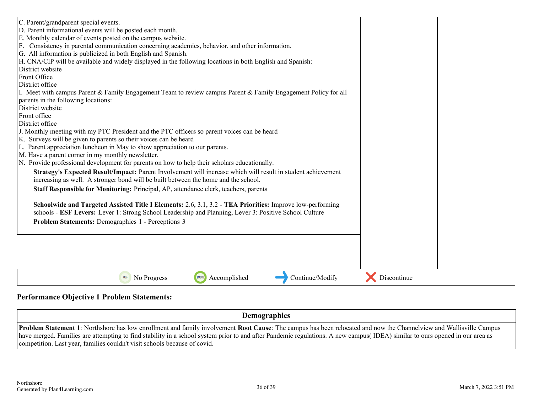| C. Parent/grandparent special events.<br>D. Parent informational events will be posted each month.<br>E. Monthly calendar of events posted on the campus website.<br>F. Consistency in parental communication concerning academics, behavior, and other information.<br>G. All information is publicized in both English and Spanish.<br>H. CNA/CIP will be available and widely displayed in the following locations in both English and Spanish:<br>District website<br>Front Office<br>District office<br>I. Meet with campus Parent & Family Engagement Team to review campus Parent & Family Engagement Policy for all<br>parents in the following locations:<br>District website<br>Front office<br>District office<br>J. Monthly meeting with my PTC President and the PTC officers so parent voices can be heard<br>K. Surveys will be given to parents so their voices can be heard<br>L. Parent appreciation luncheon in May to show appreciation to our parents.<br>M. Have a parent corner in my monthly newsletter.<br>N. Provide professional development for parents on how to help their scholars educationally.<br>Strategy's Expected Result/Impact: Parent Involvement will increase which will result in student achievement<br>increasing as well. A stronger bond will be built between the home and the school.<br><b>Staff Responsible for Monitoring:</b> Principal, AP, attendance clerk, teachers, parents<br>Schoolwide and Targeted Assisted Title I Elements: 2.6, 3.1, 3.2 - TEA Priorities: Improve low-performing<br>schools - ESF Levers: Lever 1: Strong School Leadership and Planning, Lever 3: Positive School Culture<br>Problem Statements: Demographics 1 - Perceptions 3 |             |  |
|--------------------------------------------------------------------------------------------------------------------------------------------------------------------------------------------------------------------------------------------------------------------------------------------------------------------------------------------------------------------------------------------------------------------------------------------------------------------------------------------------------------------------------------------------------------------------------------------------------------------------------------------------------------------------------------------------------------------------------------------------------------------------------------------------------------------------------------------------------------------------------------------------------------------------------------------------------------------------------------------------------------------------------------------------------------------------------------------------------------------------------------------------------------------------------------------------------------------------------------------------------------------------------------------------------------------------------------------------------------------------------------------------------------------------------------------------------------------------------------------------------------------------------------------------------------------------------------------------------------------------------------------------------------------------------------------------------------------|-------------|--|
| Accomplished<br>Continue/Modify<br>0%<br>No Progress<br>100%                                                                                                                                                                                                                                                                                                                                                                                                                                                                                                                                                                                                                                                                                                                                                                                                                                                                                                                                                                                                                                                                                                                                                                                                                                                                                                                                                                                                                                                                                                                                                                                                                                                       | Discontinue |  |

# **Performance Objective 1 Problem Statements:**

**Demographics**

**Problem Statement 1**: Northshore has low enrollment and family involvement **Root Cause**: The campus has been relocated and now the Channelview and Wallisville Campus have merged. Families are attempting to find stability in a school system prior to and after Pandemic regulations. A new campus( IDEA) similar to ours opened in our area as competition. Last year, families couldn't visit schools because of covid.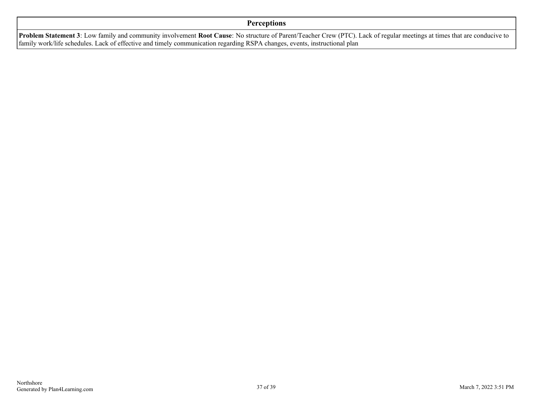# **Perceptions**

**Problem Statement 3**: Low family and community involvement **Root Cause**: No structure of Parent/Teacher Crew (PTC). Lack of regular meetings at times that are conducive to family work/life schedules. Lack of effective and timely communication regarding RSPA changes, events, instructional plan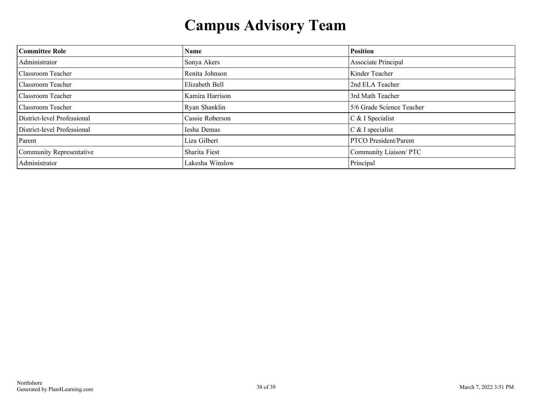# **Campus Advisory Team**

<span id="page-37-0"></span>

| <b>Committee Role</b>       | <b>Name</b>     | <b>Position</b>              |
|-----------------------------|-----------------|------------------------------|
| Administrator               | Sonya Akers     | Associate Principal          |
| Classroom Teacher           | Renita Johnson  | Kinder Teacher               |
| Classroom Teacher           | Elizabeth Bell  | 2nd ELA Teacher              |
| Classroom Teacher           | Kamira Harrison | 3rd Math Teacher             |
| Classroom Teacher           | Ryan Shanklin   | 5/6 Grade Science Teacher    |
| District-level Professional | Cassie Roberson | C & I Specialist             |
| District-level Professional | Iesha Demas     | $C$ & I specialist           |
| Parent                      | Liza Gilbert    | <b>PTCO</b> President/Parent |
| Community Representative    | Sharita Fiest   | Community Liaison/PTC        |
| Administrator               | Lakesha Winslow | Principal                    |